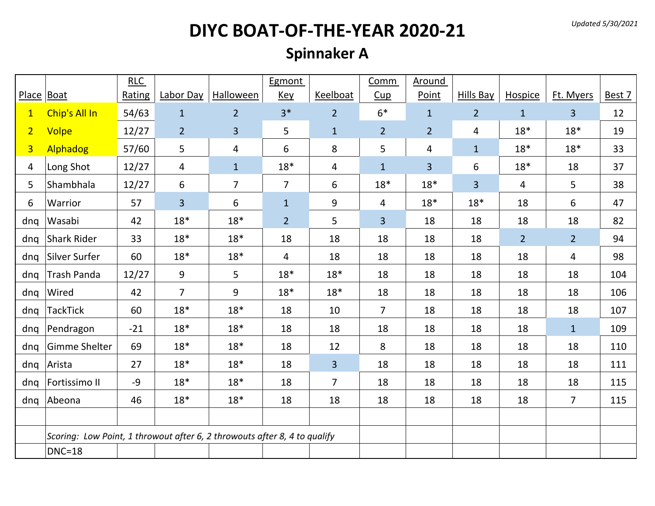#### **Spinnaker A**

|                |                                                                           | RLC    |                |                  | Egmont         |                | Comm           | Around         |                  |                |                |        |
|----------------|---------------------------------------------------------------------------|--------|----------------|------------------|----------------|----------------|----------------|----------------|------------------|----------------|----------------|--------|
| Place Boat     |                                                                           | Rating | Labor Day      | <b>Halloween</b> | <b>Key</b>     | Keelboat       | Cup            | Point          | <b>Hills Bay</b> | <b>Hospice</b> | Ft. Myers      | Best 7 |
| 1              | Chip's All In                                                             | 54/63  | $1\,$          | $\overline{2}$   | $3*$           | $\overline{2}$ | $6*$           | $\mathbf{1}$   | $\overline{2}$   | $\mathbf{1}$   | 3 <sup>1</sup> | 12     |
| 2 <sup>1</sup> | Volpe                                                                     | 12/27  | $\overline{2}$ | $\overline{3}$   | 5              | $\mathbf{1}$   | $\overline{2}$ | $\overline{2}$ | 4                | $18*$          | $18*$          | 19     |
| $\overline{3}$ | Alphadog                                                                  | 57/60  | 5              | 4                | 6              | 8              | 5              | 4              | $\mathbf{1}$     | $18*$          | $18*$          | 33     |
| 4              | Long Shot                                                                 | 12/27  | 4              | $\mathbf{1}$     | $18*$          | 4              | $\mathbf 1$    | $\overline{3}$ | 6                | $18*$          | 18             | 37     |
| 5              | Shambhala                                                                 | 12/27  | 6              | $\overline{7}$   | $\overline{7}$ | 6              | $18*$          | $18*$          | 3                | 4              | 5              | 38     |
| 6              | Warrior                                                                   | 57     | 3              | 6                | $\mathbf{1}$   | 9              | 4              | $18*$          | $18*$            | 18             | 6              | 47     |
| dnq            | Wasabi                                                                    | 42     | $18*$          | $18*$            | 2 <sup>1</sup> | 5              | $\overline{3}$ | 18             | 18               | 18             | 18             | 82     |
| dnq            | Shark Rider                                                               | 33     | $18*$          | $18*$            | 18             | 18             | 18             | 18             | 18               | 2 <sup>1</sup> | $\overline{2}$ | 94     |
| dnq            | Silver Surfer                                                             | 60     | $18*$          | $18*$            | 4              | 18             | 18             | 18             | 18               | 18             | 4              | 98     |
| dnq            | <b>Trash Panda</b>                                                        | 12/27  | 9              | 5                | $18*$          | $18*$          | 18             | 18             | 18               | 18             | 18             | 104    |
| dnq            | Wired                                                                     | 42     | $\overline{7}$ | 9                | $18*$          | $18*$          | 18             | 18             | 18               | 18             | 18             | 106    |
| dnq            | <b>TackTick</b>                                                           | 60     | $18*$          | $18*$            | 18             | 10             | $\overline{7}$ | 18             | 18               | 18             | 18             | 107    |
| dnq            | Pendragon                                                                 | $-21$  | $18*$          | $18*$            | 18             | 18             | 18             | 18             | 18               | 18             | $\mathbf{1}$   | 109    |
| dnq            | Gimme Shelter                                                             | 69     | $18*$          | $18*$            | 18             | 12             | 8              | 18             | 18               | 18             | 18             | 110    |
| dnq            | Arista                                                                    | 27     | $18*$          | $18*$            | 18             | $\overline{3}$ | 18             | 18             | 18               | 18             | 18             | 111    |
| dnq            | Fortissimo II                                                             | $-9$   | $18*$          | $18*$            | 18             | $\overline{7}$ | 18             | 18             | 18               | 18             | 18             | 115    |
| dnq            | Abeona                                                                    | 46     | $18*$          | $18*$            | 18             | 18             | 18             | 18             | 18               | 18             | 7 <sup>1</sup> | 115    |
|                |                                                                           |        |                |                  |                |                |                |                |                  |                |                |        |
|                | Scoring: Low Point, 1 throwout after 6, 2 throwouts after 8, 4 to qualify |        |                |                  |                |                |                |                |                  |                |                |        |
|                | $DNC=18$                                                                  |        |                |                  |                |                |                |                |                  |                |                |        |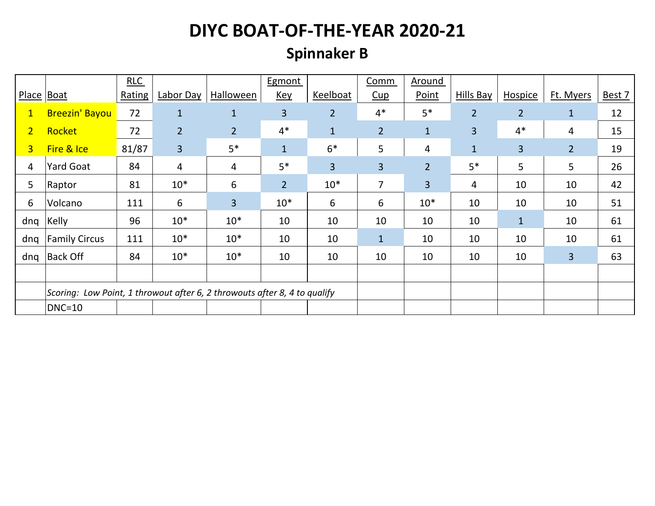#### **Spinnaker B**

|                |                                                                           | RLC    |                |                  | Egmont         |                | Comm           | Around         |                  |                |                |        |
|----------------|---------------------------------------------------------------------------|--------|----------------|------------------|----------------|----------------|----------------|----------------|------------------|----------------|----------------|--------|
| Place Boat     |                                                                           | Rating | Labor Day      | <b>Halloween</b> | <b>Key</b>     | Keelboat       | Cup            | Point          | <b>Hills Bay</b> | <b>Hospice</b> | Ft. Myers      | Best 7 |
| $\mathbf{1}$   | <b>Breezin' Bayou</b>                                                     | 72     | $\mathbf{1}$   | $\mathbf{1}$     | $\overline{3}$ | $\overline{2}$ | $4*$           | $5*$           | $\overline{2}$   | $\overline{2}$ | $\mathbf{1}$   | 12     |
| $\overline{2}$ | Rocket                                                                    | 72     | $\overline{2}$ | $\overline{2}$   | $4*$           | $\mathbf{1}$   | $\overline{2}$ | $\mathbf{1}$   | 3                | $4*$           | 4              | 15     |
| 3 <sup>1</sup> | Fire & Ice                                                                | 81/87  | 3 <sup>1</sup> | $5*$             | $\mathbf{1}$   | $6*$           | 5              | 4              | $\mathbf{1}$     | $\overline{3}$ | $\overline{2}$ | 19     |
| 4              | <b>Yard Goat</b>                                                          | 84     | 4              | 4                | $5*$           | 3              | $\overline{3}$ | $\overline{2}$ | $5*$             | 5              | 5              | 26     |
| 5              | Raptor                                                                    | 81     | $10*$          | 6                | 2 <sup>2</sup> | $10*$          | $\overline{7}$ | $\overline{3}$ | 4                | 10             | 10             | 42     |
| 6              | Volcano                                                                   | 111    | 6              | $\overline{3}$   | $10*$          | 6              | 6              | $10*$          | 10               | 10             | 10             | 51     |
| dnq            | Kelly                                                                     | 96     | $10*$          | $10*$            | 10             | 10             | 10             | 10             | 10               | $\mathbf{1}$   | 10             | 61     |
| dnq            | <b>Family Circus</b>                                                      | 111    | $10*$          | $10*$            | 10             | 10             | $\mathbf{1}$   | 10             | 10               | 10             | 10             | 61     |
| dnq            | <b>Back Off</b>                                                           | 84     | $10*$          | $10*$            | 10             | 10             | 10             | 10             | 10               | 10             | $\overline{3}$ | 63     |
|                |                                                                           |        |                |                  |                |                |                |                |                  |                |                |        |
|                | Scoring: Low Point, 1 throwout after 6, 2 throwouts after 8, 4 to qualify |        |                |                  |                |                |                |                |                  |                |                |        |
|                | $DNC=10$                                                                  |        |                |                  |                |                |                |                |                  |                |                |        |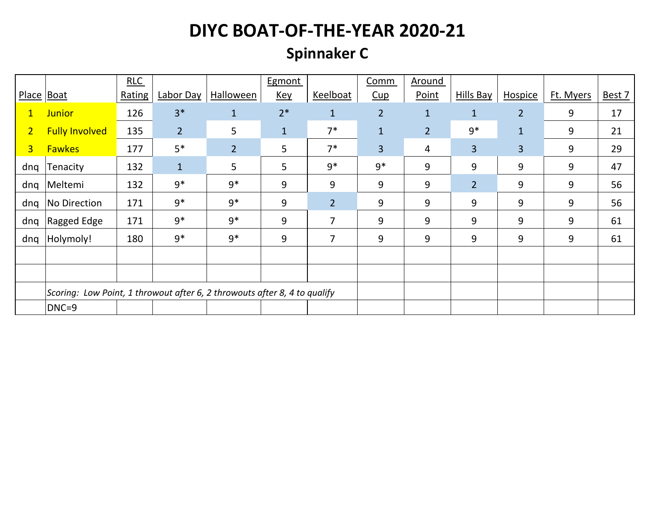#### **Spinnaker C**

|                |                                                                           | RLC    |                |                  | Egmont       |                | Comm           | Around         |                  |                |           |        |
|----------------|---------------------------------------------------------------------------|--------|----------------|------------------|--------------|----------------|----------------|----------------|------------------|----------------|-----------|--------|
| Place Boat     |                                                                           | Rating | Labor Day      | <b>Halloween</b> | <b>Key</b>   | Keelboat       | Cup            | Point          | <b>Hills Bay</b> | <b>Hospice</b> | Ft. Myers | Best 7 |
| $\mathbf{1}$   | <b>Junior</b>                                                             | 126    | $3*$           | $\mathbf{1}$     | $2*$         | $\mathbf{1}$   | $\overline{2}$ | $\mathbf{1}$   | $\mathbf{1}$     | $\overline{2}$ | 9         | 17     |
| $\overline{2}$ | <b>Fully Involved</b>                                                     | 135    | $\overline{2}$ | 5                | $\mathbf{1}$ | $7*$           | $\mathbf{1}$   | $\overline{2}$ | $9*$             | $\mathbf{1}$   | 9         | 21     |
| 3 <sup>1</sup> | <b>Fawkes</b>                                                             | 177    | $5*$           | $\overline{2}$   | 5            | $7*$           | 3              | 4              | $\overline{3}$   | 3              | 9         | 29     |
| dnq            | Tenacity                                                                  | 132    | $\mathbf{1}$   | $5\overline{)}$  | 5            | $9*$           | $9*$           | 9              | 9                | 9              | 9         | 47     |
| dnq            | Meltemi                                                                   | 132    | $9*$           | $9*$             | 9            | 9              | 9              | 9              | $\overline{2}$   | 9              | 9         | 56     |
| dnq            | No Direction                                                              | 171    | $9*$           | $9*$             | 9            | $\overline{2}$ | 9              | 9              | 9                | 9              | 9         | 56     |
| dnq            | Ragged Edge                                                               | 171    | $9*$           | $9*$             | 9            | 7              | 9              | 9              | 9                | 9              | 9         | 61     |
| dnq            | Holymoly!                                                                 | 180    | $9*$           | $9*$             | 9            | 7              | 9              | 9              | 9                | 9              | 9         | 61     |
|                |                                                                           |        |                |                  |              |                |                |                |                  |                |           |        |
|                |                                                                           |        |                |                  |              |                |                |                |                  |                |           |        |
|                | Scoring: Low Point, 1 throwout after 6, 2 throwouts after 8, 4 to qualify |        |                |                  |              |                |                |                |                  |                |           |        |
|                | DNC=9                                                                     |        |                |                  |              |                |                |                |                  |                |           |        |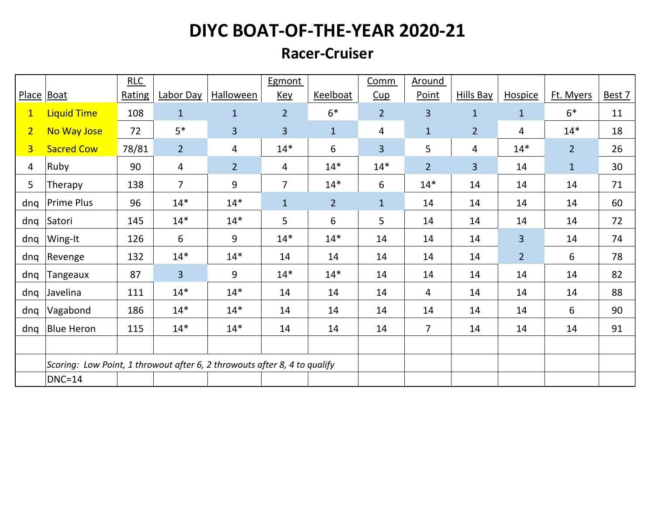#### **Racer-Cruiser**

|                |                                                                           | RLC    |                |                  | Egmont         |                | Comm           | Around         |                  |                |                |        |
|----------------|---------------------------------------------------------------------------|--------|----------------|------------------|----------------|----------------|----------------|----------------|------------------|----------------|----------------|--------|
|                | Place Boat                                                                | Rating | Labor Day      | <b>Halloween</b> | <b>Key</b>     | Keelboat       | Cup            | Point          | <b>Hills Bay</b> | Hospice        | Ft. Myers      | Best 7 |
| $\mathbf{1}$   | <b>Liquid Time</b>                                                        | 108    | $\mathbf{1}$   | $\mathbf{1}$     | $\overline{2}$ | $6*$           | $\overline{2}$ | $\overline{3}$ | $\mathbf{1}$     | $\mathbf{1}$   | $6*$           | 11     |
| 2 <sup>1</sup> | No Way Jose                                                               | 72     | $5*$           | $\overline{3}$   | 3              | $\mathbf{1}$   | 4              | $\mathbf{1}$   | $\overline{2}$   | 4              | $14*$          | 18     |
| $\overline{3}$ | <b>Sacred Cow</b>                                                         | 78/81  | $\overline{2}$ | 4                | $14*$          | 6              | 3              | 5              | 4                | $14*$          | $\overline{2}$ | 26     |
| 4              | Ruby                                                                      | 90     | 4              | $\overline{2}$   | 4              | $14*$          | $14*$          | 2 <sup>1</sup> | $\overline{3}$   | 14             | $\mathbf{1}$   | 30     |
| 5              | Therapy                                                                   | 138    | $\overline{7}$ | 9                | $\overline{7}$ | $14*$          | 6              | $14*$          | 14               | 14             | 14             | 71     |
| dnq            | <b>Prime Plus</b>                                                         | 96     | $14*$          | $14*$            | $\mathbf{1}$   | $\overline{2}$ | $1\,$          | 14             | 14               | 14             | 14             | 60     |
| dnq            | Satori                                                                    | 145    | $14*$          | $14*$            | 5              | 6              | 5              | 14             | 14               | 14             | 14             | 72     |
| dnq            | Wing-It                                                                   | 126    | 6              | 9                | $14*$          | $14*$          | 14             | 14             | 14               | $\overline{3}$ | 14             | 74     |
| dnq            | Revenge                                                                   | 132    | $14*$          | $14*$            | 14             | 14             | 14             | 14             | 14               | $\overline{2}$ | 6              | 78     |
| dnq            | Tangeaux                                                                  | 87     | 3              | 9                | $14*$          | $14*$          | 14             | 14             | 14               | 14             | 14             | 82     |
| dnq            | Javelina                                                                  | 111    | $14*$          | $14*$            | 14             | 14             | 14             | 4              | 14               | 14             | 14             | 88     |
| dnq            | Vagabond                                                                  | 186    | $14*$          | $14*$            | 14             | 14             | 14             | 14             | 14               | 14             | 6              | 90     |
| dnq            | <b>Blue Heron</b>                                                         | 115    | $14*$          | $14*$            | 14             | 14             | 14             | $\overline{7}$ | 14               | 14             | 14             | 91     |
|                |                                                                           |        |                |                  |                |                |                |                |                  |                |                |        |
|                | Scoring: Low Point, 1 throwout after 6, 2 throwouts after 8, 4 to qualify |        |                |                  |                |                |                |                |                  |                |                |        |
|                | $DNC=14$                                                                  |        |                |                  |                |                |                |                |                  |                |                |        |